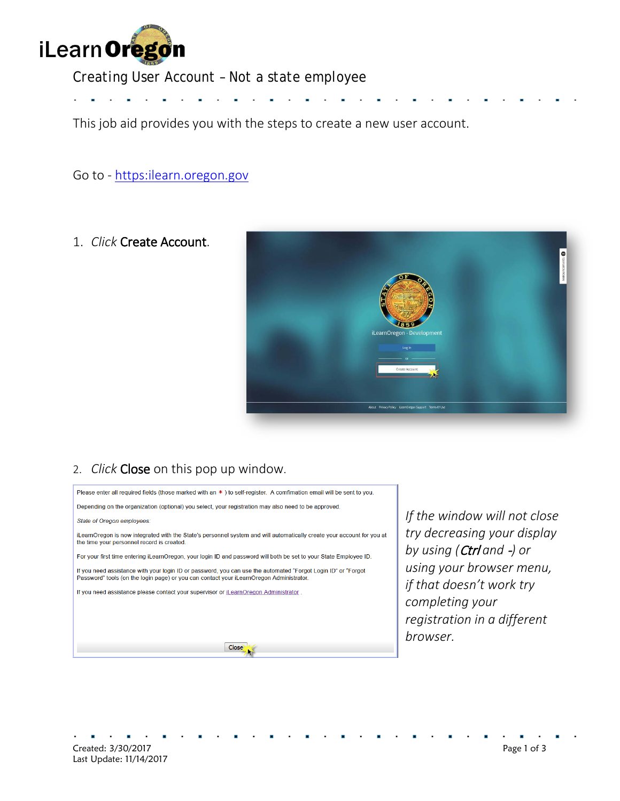

# *Creating User Account – Not a state employee*

This job aid provides you with the steps to create a new user account.

#### Go to - [https:ilearn.oregon.gov](https://ilearn.oregon.gov/)

#### 1. *Click* Create Account.



### 2. *Click* Close on this pop up window.

Please enter all required fields (those marked with an \*) to self-register. A comfimation email will be sent to you. Depending on the organization (optional) you select, your registration may also need to be approved. State of Oregon employees: iLearnOregon is now integrated with the State's personnel system and will automatically create your account for you at the time your personnel record is created. For your first time entering iLearnOregon, your login ID and password will both be set to your State Employee ID. If you need assistance with your login ID or password, you can use the automated "Forgot Login ID" or "Forgot<br>Password" tools (on the login page) or you can contact your iLearnOregon Administrator. If you need assistance please contact your supervisor or iLearnOregon Administrator. Close

*If the window will not close try decreasing your display by using (*Ctrl *and* -*) or using your browser menu, if that doesn't work try completing your registration in a different browser.*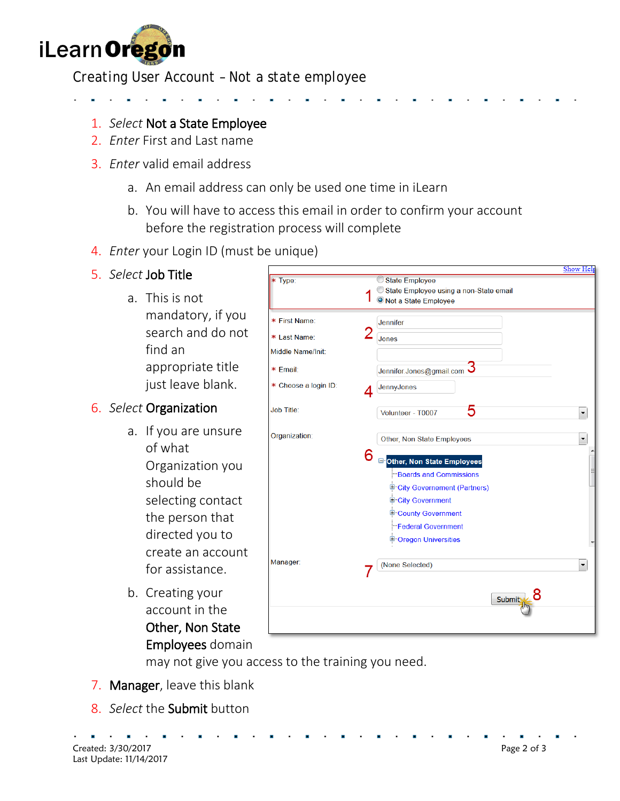

## *Creating User Account – Not a state employee*

- 
- 1. *Select* Not a State Employee
- 2. *Enter* First and Last name
- 3. *Enter* valid email address
	- a. An email address can only be used one time in iLearn
	- b. You will have to access this email in order to confirm your account before the registration process will complete
- 4. *Enter* your Login ID (must be unique)
- 5. *Select* Job Title
	- a. This is not mandatory, if you search and do not find an appropriate title just leave blank.

### 6. *Select* Organization

- a. If you are unsure of what Organization you should be selecting contact the person that directed you to create an account for assistance.
- b. Creating your account in the Other, Non State Employees domain

|                      |                                          | Show Help            |
|----------------------|------------------------------------------|----------------------|
| $\ast$<br>Type:      | State Employee                           |                      |
|                      | State Employee using a non-State email   |                      |
|                      | O Not a State Employee                   |                      |
| * First Name:        | <b>Jennifer</b>                          |                      |
| * Last Name:         | Jones                                    |                      |
| Middle Name/Init:    |                                          |                      |
| * Email:             | Jennifer.Jones@gmail.com J               |                      |
| * Choose a login ID: | JennyJones<br>4                          |                      |
| <b>Job Title:</b>    | 5<br>Volunteer - T0007                   | $\blacktriangledown$ |
| Organization:        | Other, Non State Employees               | ▼                    |
|                      | 6<br><b>E</b> Other, Non State Employees |                      |
|                      | <b>Boards and Commissions</b>            |                      |
|                      | <b>E</b> City Governement (Partners)     |                      |
|                      | City Government                          |                      |
|                      | <sup>1</sup> County Government           |                      |
|                      | <b>Federal Government</b>                |                      |
|                      | <sup>1</sup> -Oregon Universities        |                      |
| Manager:             | (None Selected)                          | $\blacktriangledown$ |
|                      |                                          |                      |
|                      | Submit                                   |                      |
|                      |                                          |                      |
|                      |                                          |                      |

may not give you access to the training you need.

- 7. Manager, leave this blank
- 8. *Select* the Submit button